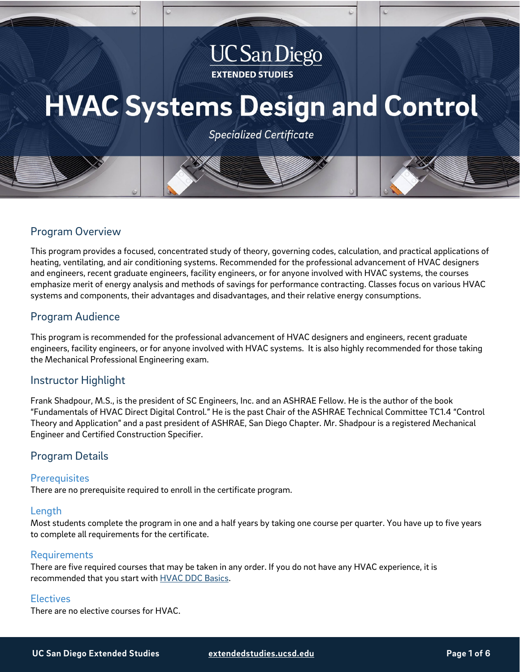## **UC San Diego EXTENDED STUDIES**

# **HVAC Systems Design and Control**

**Specialized Certificate** 

## Program Overview

This program provides a focused, concentrated study of theory, governing codes, calculation, and practical applications of heating, ventilating, and air conditioning systems. Recommended for the professional advancement of HVAC designers and engineers, recent graduate engineers, facility engineers, or for anyone involved with HVAC systems, the courses emphasize merit of energy analysis and methods of savings for performance contracting. Classes focus on various HVAC systems and components, their advantages and disadvantages, and their relative energy consumptions.

## Program Audience

This program is recommended for the professional advancement of HVAC designers and engineers, recent graduate engineers, facility engineers, or for anyone involved with HVAC systems. It is also highly recommended for those taking the Mechanical Professional Engineering exam.

## Instructor Highlight

Frank Shadpour, M.S., is the president of SC Engineers, Inc. and an ASHRAE Fellow. He is the author of the book "Fundamentals of HVAC Direct Digital Control." He is the past Chair of the ASHRAE Technical Committee TC1.4 "Control Theory and Application" and a past president of ASHRAE, San Diego Chapter. Mr. Shadpour is a registered Mechanical Engineer and Certified Construction Specifier.

## Program Details

## **Prerequisites**

There are no prerequisite required to enroll in the certificate program.

## Length

Most students complete the program in one and a half years by taking one course per quarter. You have up to five years to complete all requirements for the certificate.

## Requirements

There are five required courses that may be taken in any order. If you do not have any HVAC experience, it is recommended that you start with **HVAC DDC Basics**.

## **Electives**

There are no elective courses for HVAC.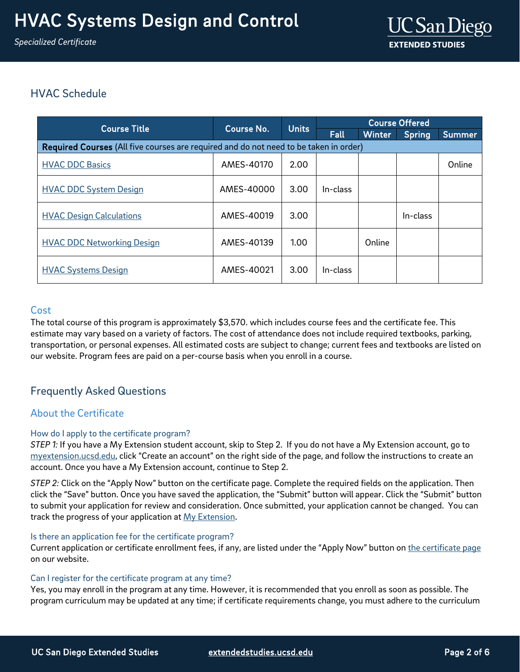## HVAC Schedule

| <b>Course Title</b>                                                                   | Course No. | <b>Units</b> | <b>Course Offered</b> |               |               |        |
|---------------------------------------------------------------------------------------|------------|--------------|-----------------------|---------------|---------------|--------|
|                                                                                       |            |              | Fall                  | <b>Winter</b> | <b>Spring</b> | Summer |
| Required Courses (All five courses are required and do not need to be taken in order) |            |              |                       |               |               |        |
| <b>HVAC DDC Basics</b>                                                                | AMES-40170 | 2.00         |                       |               |               | Online |
| <b>HVAC DDC System Design</b>                                                         | AMES-40000 | 3.00         | In-class              |               |               |        |
| <b>HVAC Design Calculations</b>                                                       | AMES-40019 | 3.00         |                       |               | In-class      |        |
| <b>HVAC DDC Networking Design</b>                                                     | AMES-40139 | 1.00         |                       | Online        |               |        |
| <b>HVAC Systems Design</b>                                                            | AMES-40021 | 3.00         | In-class              |               |               |        |

## <span id="page-1-0"></span>Cost

The total course of this program is approximately \$3,570. which includes course fees and the certificate fee. This estimate may vary based on a variety of factors. The cost of attendance does not include required textbooks, parking, transportation, or personal expenses. All estimated costs are subject to change; current fees and textbooks are listed on our website. Program fees are paid on a per-course basis when you enroll in a course.

## Frequently Asked Questions

## About the Certificate

## How do I apply to the certificate program?

*STEP 1:* If you have a My Extension student account, skip to Step 2. If you do not have a My Extension account, go to [myextension.ucsd.edu,](https://myextension.ucsd.edu/?utm_source=faqs-pdf&utm_medium=pdf&utm_campaign=bst-hvac) click "Create an account" on the right side of the page, and follow the instructions to create an account. Once you have a My Extension account, continue to Step 2.

*STEP 2:* Click on the "Apply Now" button on the certificate page. Complete the required fields on the application. Then click the "Save" button. Once you have saved the application, the "Submit" button will appear. Click the "Submit" button to submit your application for review and consideration. Once submitted, your application cannot be changed. You can track the progress of your application at [My Extension.](https://myextension.ucsd.edu/?utm_source=faqs-pdf&utm_medium=pdf&utm_campaign=bst-hvac)

## Is there an application fee for the certificate program?

Current application or certificate enrollment fees, if any, are listed under the "Apply Now" button o[n the certificate page](https://extension.ucsd.edu/courses-and-programs/hvac-systems-design-and-control?utm_source=faqs-pdf&utm_medium=pdf&utm_campaign=bst-hvac) on our website.

## Can I register for the certificate program at any time?

Yes, you may enroll in the program at any time. However, it is recommended that you enroll as soon as possible. The program curriculum may be updated at any time; if certificate requirements change, you must adhere to the curriculum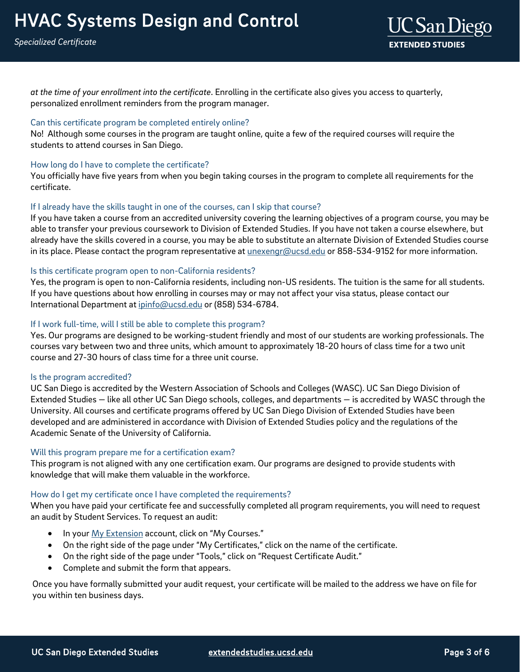

*at the time of your enrollment into the certificate*. Enrolling in the certificate also gives you access to quarterly, personalized enrollment reminders from the program manager.

## Can this certificate program be completed entirely online?

No! Although some courses in the program are taught online, quite a few of the required courses will require the students to attend courses in San Diego.

#### How long do I have to complete the certificate?

You officially have five years from when you begin taking courses in the program to complete all requirements for the certificate.

#### If I already have the skills taught in one of the courses, can I skip that course?

If you have taken a course from an accredited university covering the learning objectives of a program course, you may be able to transfer your previous coursework to Division of Extended Studies. If you have not taken a course elsewhere, but already have the skills covered in a course, you may be able to substitute an alternate Division of Extended Studies course in its place. Please contact the program representative at *unexengr@ucsd.edu* or 858-534-9152 for more information.

#### Is this certificate program open to non-California residents?

Yes, the program is open to non-California residents, including non-US residents. The tuition is the same for all students. If you have questions about how enrolling in courses may or may not affect your visa status, please contact our International Department at [ipinfo@ucsd.edu](mailto:ipinfo@ucsd.edu) or (858) 534-6784.

## If I work full-time, will I still be able to complete this program?

Yes. Our programs are designed to be working-student friendly and most of our students are working professionals. The courses vary between two and three units, which amount to approximately 18-20 hours of class time for a two unit course and 27-30 hours of class time for a three unit course.

#### Is the program accredited?

UC San Diego is accredited by the Western Association of Schools and Colleges (WASC). UC San Diego Division of Extended Studies — like all other UC San Diego schools, colleges, and departments — is accredited by WASC through the University. All courses and certificate programs offered by UC San Diego Division of Extended Studies have been developed and are administered in accordance with Division of Extended Studies policy and the regulations of the Academic Senate of the University of California.

#### Will this program prepare me for a certification exam?

This program is not aligned with any one certification exam. Our programs are designed to provide students with knowledge that will make them valuable in the workforce.

## How do I get my certificate once I have completed the requirements?

When you have paid your certificate fee and successfully completed all program requirements, you will need to request an audit by Student Services. To request an audit:

- In you[r My Extension](https://myextension.ucsd.edu/?utm_source=faqs-pdf&utm_medium=pdf&utm_campaign=bst-hvac) account, click on "My Courses."
- On the right side of the page under "My Certificates," click on the name of the certificate.
- On the right side of the page under "Tools," click on "Request Certificate Audit."
- Complete and submit the form that appears.

Once you have formally submitted your audit request, your certificate will be mailed to the address we have on file for you within ten business days.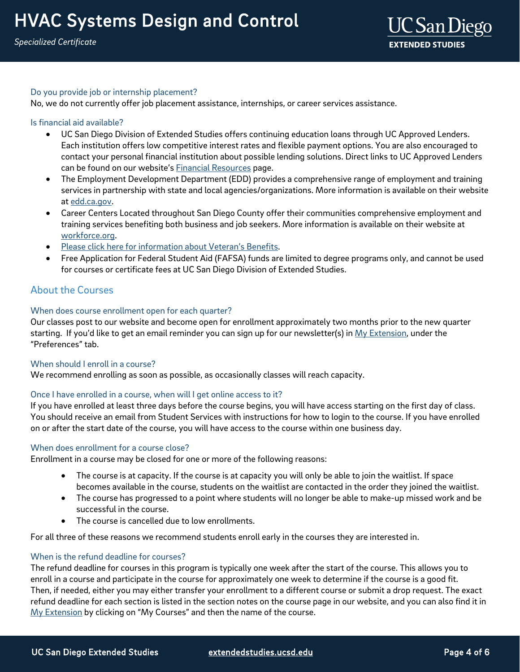## Do you provide job or internship placement?

No, we do not currently offer job placement assistance, internships, or career services assistance.

## Is financial aid available?

- UC San Diego Division of Extended Studies offers continuing education loans through UC Approved Lenders. Each institution offers low competitive interest rates and flexible payment options. You are also encouraged to contact your personal financial institution about possible lending solutions. Direct links to UC Approved Lenders can be found on our website's [Financial Resources](https://extension.ucsd.edu/student-resources/financial-resources?utm_source=faqs-pdf&utm_medium=pdf&utm_campaign=bst-hvac) page.
- The Employment Development Department (EDD) provides a comprehensive range of employment and training services in partnership with state and local agencies/organizations. More information is available on their website at [edd.ca.gov.](http://edd.ca.gov/)
- Career Centers Located throughout San Diego County offer their communities comprehensive employment and training services benefiting both business and job seekers. More information is available on their website at [workforce.org.](http://workforce.org/)
- [Please click here for information about Veteran's Benefits.](https://extension.ucsd.edu/student-resources/veterans-education-benefits?utm_source=faqs-pdf&utm_medium=pdf&utm_campaign=bst-hvac)
- Free Application for Federal Student Aid (FAFSA) funds are limited to degree programs only, and cannot be used for courses or certificate fees at UC San Diego Division of Extended Studies.

## About the Courses

## When does course enrollment open for each quarter?

Our classes post to our website and become open for enrollment approximately two months prior to the new quarter starting. If you'd like to get an email reminder you can sign up for our newsletter(s) in [My Extension,](https://myextension.ucsd.edu/?utm_source=faqs-pdf&utm_medium=pdf&utm_campaign=bst-hvac) under the "Preferences" tab.

## When should I enroll in a course?

We recommend enrolling as soon as possible, as occasionally classes will reach capacity.

## Once I have enrolled in a course, when will I get online access to it?

If you have enrolled at least three days before the course begins, you will have access starting on the first day of class. You should receive an email from Student Services with instructions for how to login to the course. If you have enrolled on or after the start date of the course, you will have access to the course within one business day.

## When does enrollment for a course close?

Enrollment in a course may be closed for one or more of the following reasons:

- The course is at capacity. If the course is at capacity you will only be able to join the waitlist. If space becomes available in the course, students on the waitlist are contacted in the order they joined the waitlist.
- The course has progressed to a point where students will no longer be able to make-up missed work and be successful in the course.
- The course is cancelled due to low enrollments.

For all three of these reasons we recommend students enroll early in the courses they are interested in.

## When is the refund deadline for courses?

The refund deadline for courses in this program is typically one week after the start of the course. This allows you to enroll in a course and participate in the course for approximately one week to determine if the course is a good fit. Then, if needed, either you may either transfer your enrollment to a different course or submit a drop request. The exact refund deadline for each section is listed in the section notes on the course page in our website, and you can also find it in [My Extension](https://myextension.ucsd.edu/?utm_source=faqs-pdf&utm_medium=pdf&utm_campaign=bst-hvac) by clicking on "My Courses" and then the name of the course.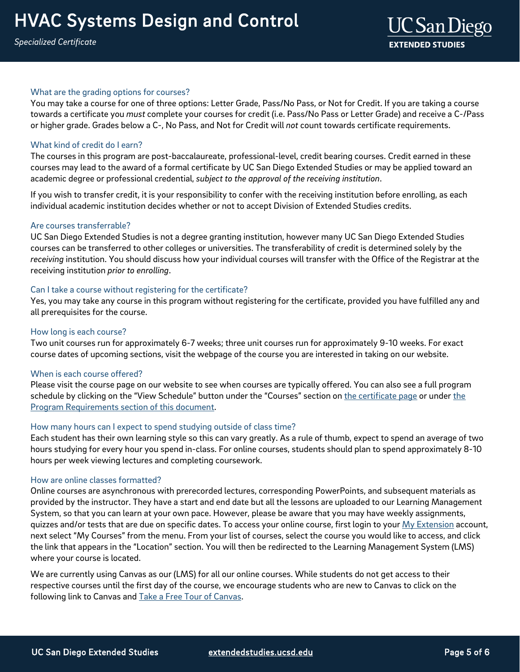## What are the grading options for courses?

You may take a course for one of three options: Letter Grade, Pass/No Pass, or Not for Credit. If you are taking a course towards a certificate you *must* complete your courses for credit (i.e. Pass/No Pass or Letter Grade) and receive a C-/Pass or higher grade. Grades below a C-, No Pass, and Not for Credit will *not* count towards certificate requirements.

## What kind of credit do I earn?

The courses in this program are post-baccalaureate, professional-level, credit bearing courses. Credit earned in these courses may lead to the award of a formal certificate by UC San Diego Extended Studies or may be applied toward an academic degree or professional credential, *subject to the approval of the receiving institution*.

If you wish to transfer credit, it is your responsibility to confer with the receiving institution before enrolling, as each individual academic institution decides whether or not to accept Division of Extended Studies credits.

## Are courses transferrable?

UC San Diego Extended Studies is not a degree granting institution, however many UC San Diego Extended Studies courses can be transferred to other colleges or universities. The transferability of credit is determined solely by the *receiving* institution. You should discuss how your individual courses will transfer with the Office of the Registrar at the receiving institution *prior to enrolling*.

## Can I take a course without registering for the certificate?

Yes, you may take any course in this program without registering for the certificate, provided you have fulfilled any and all prerequisites for the course.

## How long is each course?

Two unit courses run for approximately 6-7 weeks; three unit courses run for approximately 9-10 weeks. For exact course dates of upcoming sections, visit the webpage of the course you are interested in taking on our website.

## When is each course offered?

Please visit the course page on our website to see when courses are typically offered. You can also see a full program schedule by clicking on the "View Schedule" button under the "Courses" section o[n the certificate page](https://extension.ucsd.edu/courses-and-programs/hvac-systems-design-and-control?utm_source=faqs-pdf&utm_medium=pdf&utm_campaign=bst-hvac) or under the [Program Requirements section of this document.](#page-1-0) 

## How many hours can I expect to spend studying outside of class time?

Each student has their own learning style so this can vary greatly. As a rule of thumb, expect to spend an average of two hours studying for every hour you spend in-class. For online courses, students should plan to spend approximately 8-10 hours per week viewing lectures and completing coursework.

#### How are online classes formatted?

Online courses are asynchronous with prerecorded lectures, corresponding PowerPoints, and subsequent materials as provided by the instructor. They have a start and end date but all the lessons are uploaded to our Learning Management System, so that you can learn at your own pace. However, please be aware that you may have weekly assignments, quizzes and/or tests that are due on specific dates. To access your online course, first login to your My [Extension](https://myextension.ucsd.edu/?_ga=2.269008246.627403318.1595353518-1029495817.1595353518) account, next select "My Courses" from the menu. From your list of courses, select the course you would like to access, and click the link that appears in the "Location" section. You will then be redirected to the Learning Management System (LMS) where your course is located.

We are currently using Canvas as our (LMS) for all our online courses. While students do not get access to their respective courses until the first day of the course, we encourage students who are new to Canvas to click on the following link to Canvas and Take a Free Tour of Canvas.